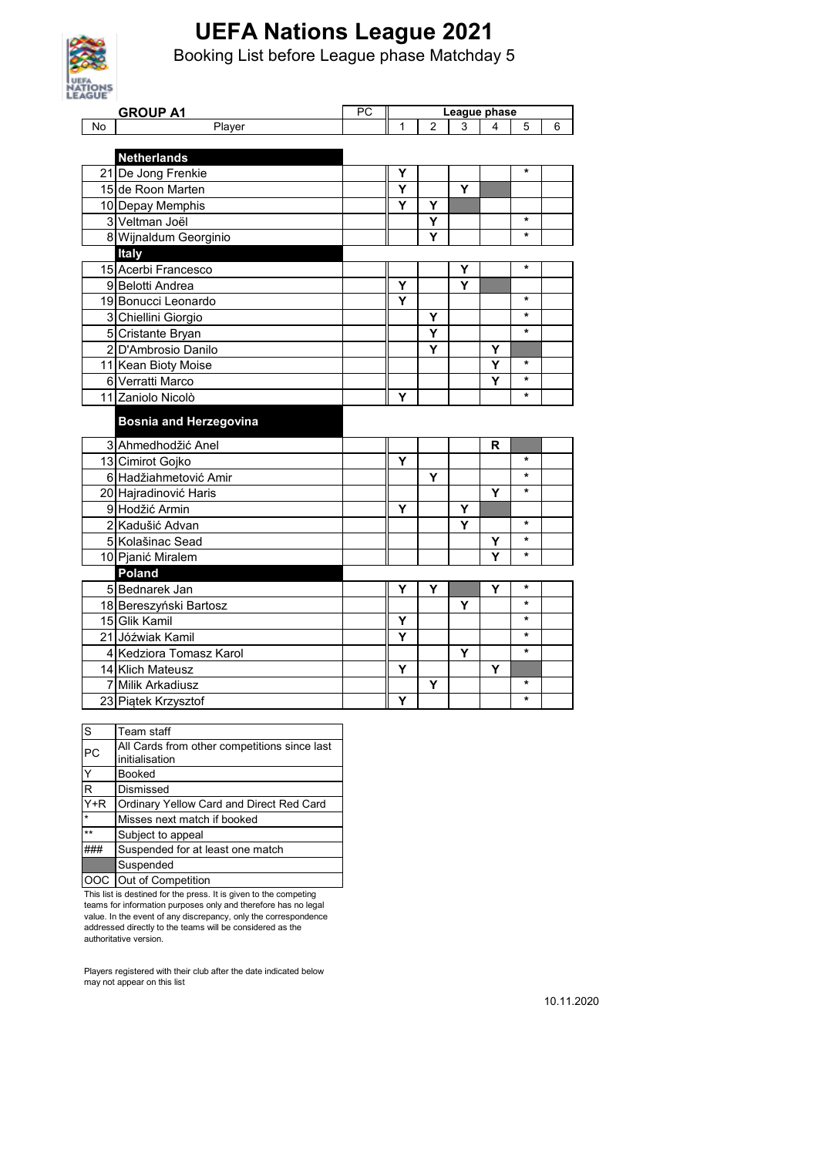

Booking List before League phase Matchday 5

| <b>AGUE</b> |                               |    |                         |                |              |   |         |   |
|-------------|-------------------------------|----|-------------------------|----------------|--------------|---|---------|---|
|             | <b>GROUP A1</b>               | PC |                         |                | League phase |   |         |   |
| No          | Player                        |    | 1                       | $\overline{2}$ | 3            | 4 | 5       | 6 |
|             |                               |    |                         |                |              |   |         |   |
|             | <b>Netherlands</b>            |    |                         |                |              |   |         |   |
|             | 21 De Jong Frenkie            |    | Υ                       |                |              |   | $\star$ |   |
|             | 15 de Roon Marten             |    | $\overline{\mathsf{Y}}$ |                | Ÿ            |   |         |   |
|             | 10 Depay Memphis              |    | Y                       | Y              |              |   |         |   |
|             | 3 Veltman Joël                |    |                         | Ý              |              |   | $\star$ |   |
|             | 8 Wijnaldum Georginio         |    |                         | Ý              |              |   | $\star$ |   |
|             | Italy                         |    |                         |                |              |   |         |   |
|             | 15 Acerbi Francesco           |    |                         |                | Y            |   | $\star$ |   |
|             | 9 Belotti Andrea              |    | Y                       |                | Y            |   |         |   |
|             | 19 Bonucci Leonardo           |    | Y                       |                |              |   | $\star$ |   |
|             | 3 Chiellini Giorgio           |    |                         | Υ              |              |   | *       |   |
|             | 5 Cristante Bryan             |    |                         | Υ              |              |   | $\star$ |   |
|             | 2 D'Ambrosio Danilo           |    |                         | Y              |              | Υ |         |   |
|             | 11 Kean Bioty Moise           |    |                         |                |              | Y | $\star$ |   |
|             | 6 Verratti Marco              |    |                         |                |              | Y | $\star$ |   |
|             | 11 Zaniolo Nicolò             |    | Υ                       |                |              |   | $\star$ |   |
|             | <b>Bosnia and Herzegovina</b> |    |                         |                |              |   |         |   |
|             | 3 Ahmedhodžić Anel            |    |                         |                |              | R |         |   |
|             | 13 Cimirot Gojko              |    | Y                       |                |              |   | *       |   |
|             | 6 Hadžiahmetović Amir         |    |                         | Y              |              |   | $\star$ |   |
|             | 20 Hajradinović Haris         |    |                         |                |              | Y | $\star$ |   |
|             | 9 Hodžić Armin                |    | Y                       |                | Υ            |   |         |   |
|             | 2 Kadušić Advan               |    |                         |                | Y            |   | $\star$ |   |
|             | 5 Kolašinac Sead              |    |                         |                |              | Y | *       |   |
|             | 10 Pjanić Miralem             |    |                         |                |              | Y | *       |   |
|             | Poland                        |    |                         |                |              |   |         |   |
|             | 5 Bednarek Jan                |    | Y                       | Υ              |              | Y | $\star$ |   |
|             | 18 Bereszyński Bartosz        |    |                         |                | Υ            |   | $\star$ |   |
|             | 15 Glik Kamil                 |    | Y                       |                |              |   | $\star$ |   |
|             | 21 Jóźwiak Kamil              |    | Y                       |                |              |   | $\star$ |   |
|             | 4 Kedziora Tomasz Karol       |    |                         |                | Y            |   | $\star$ |   |
|             | 14 Klich Mateusz              |    | Y                       |                |              | Y |         |   |
|             | 7 Milik Arkadiusz             |    |                         | Y              |              |   | *       |   |
|             | 23 Piątek Krzysztof           |    | Y                       |                |              |   | $\star$ |   |

| S       | Team staff                                   |
|---------|----------------------------------------------|
| PC      | All Cards from other competitions since last |
|         | initialisation                               |
| Y       | <b>Booked</b>                                |
| R       | Dismissed                                    |
| $Y+R$   | Ordinary Yellow Card and Direct Red Card     |
| $\star$ | Misses next match if booked                  |
| $**$    | Subject to appeal                            |
|         | Suspended for at least one match             |
|         | Suspended                                    |
|         | OOC Out of Competition                       |

This list is destined for the press. It is given to the competing teams for information purposes only and therefore has no legal value. In the event of any discrepancy, only the correspondence addressed directly to the teams will be considered as the authoritative version.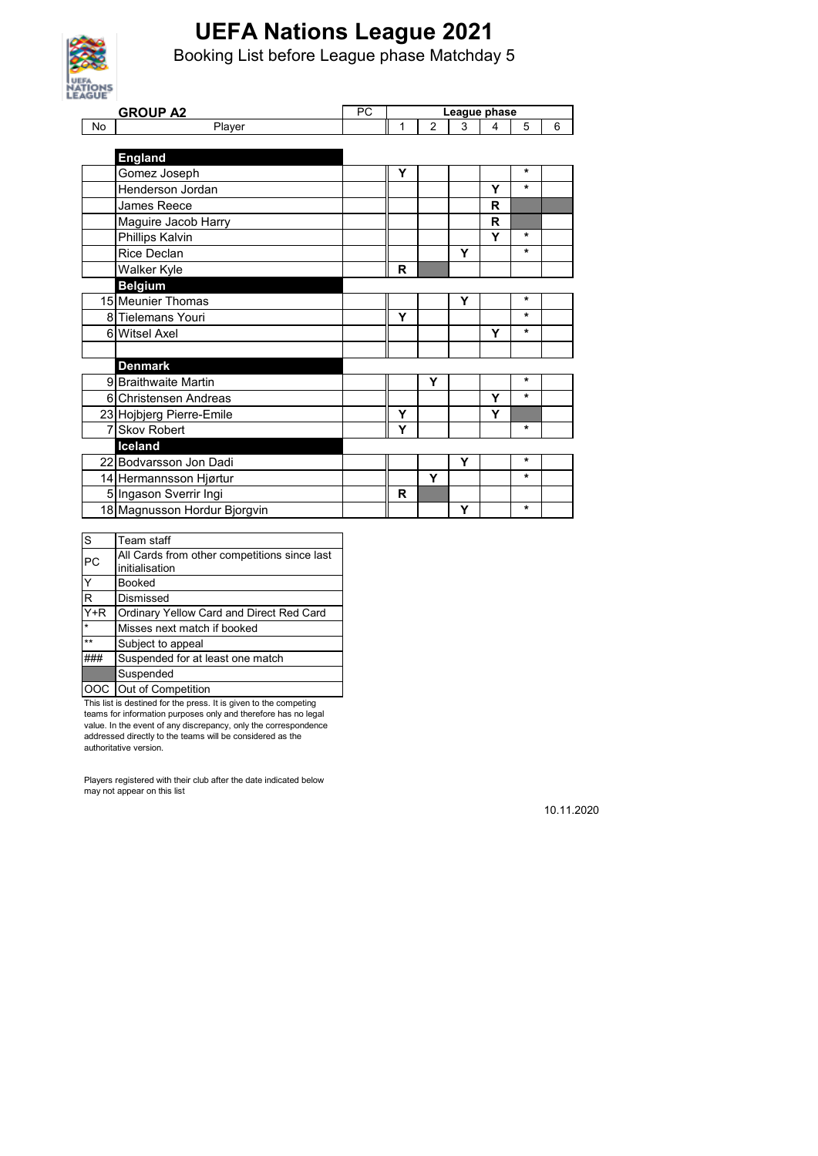

Booking List before League phase Matchday 5

| <b>AGUE</b> |                              |    |             |                |              |   |         |   |
|-------------|------------------------------|----|-------------|----------------|--------------|---|---------|---|
|             | <b>GROUP A2</b>              | PC |             |                | League phase |   |         |   |
| No          | Player                       |    | 1           | $\overline{2}$ | 3            | 4 | 5       | 6 |
|             |                              |    |             |                |              |   |         |   |
|             | <b>England</b>               |    |             |                |              |   |         |   |
|             | Gomez Joseph                 |    | Υ           |                |              |   | $\star$ |   |
|             | Henderson Jordan             |    |             |                |              | Y | $\star$ |   |
|             | James Reece                  |    |             |                |              | R |         |   |
|             | Maguire Jacob Harry          |    |             |                |              | R |         |   |
|             | Phillips Kalvin              |    |             |                |              | Y | $\star$ |   |
|             | Rice Declan                  |    |             |                | Υ            |   | $\star$ |   |
|             | Walker Kyle                  |    | R           |                |              |   |         |   |
|             | <b>Belgium</b>               |    |             |                |              |   |         |   |
|             | 15 Meunier Thomas            |    |             |                | Υ            |   | *       |   |
|             | 8 Tielemans Youri            |    | Y           |                |              |   | $\star$ |   |
|             | 6 Witsel Axel                |    |             |                |              | Υ | $\star$ |   |
|             |                              |    |             |                |              |   |         |   |
|             | <b>Denmark</b>               |    |             |                |              |   |         |   |
|             | 9 Braithwaite Martin         |    |             | Υ              |              |   | $\star$ |   |
|             | 6 Christensen Andreas        |    |             |                |              | Y | $\star$ |   |
|             | 23 Hojbjerg Pierre-Emile     |    | Y           |                |              | Y |         |   |
|             | 7 Skov Robert                |    | Y           |                |              |   | $\star$ |   |
|             | Iceland                      |    |             |                |              |   |         |   |
|             | 22 Bodvarsson Jon Dadi       |    |             |                | Υ            |   | $\star$ |   |
|             | 14 Hermannsson Hjørtur       |    |             | Y              |              |   | $\star$ |   |
|             | 5 Ingason Sverrir Ingi       |    | $\mathbf R$ |                |              |   |         |   |
|             | 18 Magnusson Hordur Bjorgvin |    |             |                | Υ            |   | $\star$ |   |

| S       | Team staff                                   |
|---------|----------------------------------------------|
| PC      | All Cards from other competitions since last |
|         | initialisation                               |
| Y       | <b>Booked</b>                                |
| R       | Dismissed                                    |
| $Y+R$   | Ordinary Yellow Card and Direct Red Card     |
| $\star$ | Misses next match if booked                  |
| $**$    | Subject to appeal                            |
|         | Suspended for at least one match             |
|         | Suspended                                    |
|         | Out of Competition                           |

This list is destined for the press. It is given to the competing teams for information purposes only and therefore has no legal value. In the event of any discrepancy, only the correspondence addressed directly to the teams will be considered as the authoritative version.

Players registered with their club after the date indicated below may not appear on this list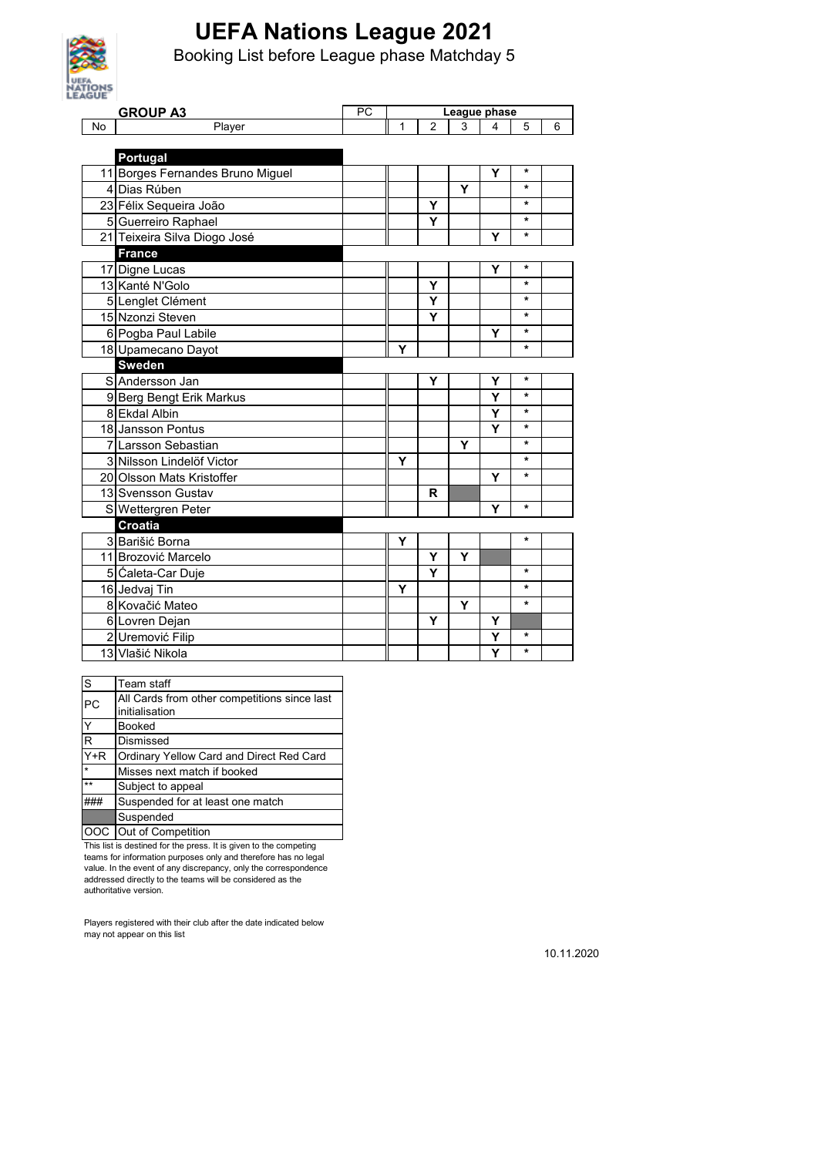

Booking List before League phase Matchday 5

| AGUE |                                  |    |              |                |   |   |         |   |
|------|----------------------------------|----|--------------|----------------|---|---|---------|---|
| No   | <b>GROUP A3</b>                  | PC | League phase |                |   |   |         |   |
|      | Player                           |    | 1            | $\overline{2}$ | 3 | 4 | 5       | 6 |
|      | Portugal                         |    |              |                |   |   |         |   |
|      | 11 Borges Fernandes Bruno Miguel |    |              |                |   | Υ | *       |   |
|      | 4 Dias Rúben                     |    |              |                | Y |   | $\star$ |   |
|      | 23 Félix Sequeira João           |    |              | Y              |   |   | $\star$ |   |
|      | 5 Guerreiro Raphael              |    |              | Ý              |   |   | *       |   |
|      | 21 Teixeira Silva Diogo José     |    |              |                |   | Y | *       |   |
|      | <b>France</b>                    |    |              |                |   |   |         |   |
|      | 17 Digne Lucas                   |    |              |                |   | Υ | *       |   |
|      | 13 Kanté N'Golo                  |    |              | Y              |   |   | $\star$ |   |
|      | 5 Lenglet Clément                |    |              | Ý              |   |   | $\star$ |   |
|      | 15 Nzonzi Steven                 |    |              | Υ              |   |   | *       |   |
|      | 6 Pogba Paul Labile              |    |              |                |   | Υ | *       |   |
|      | 18 Upamecano Dayot               |    | Y            |                |   |   | $\star$ |   |
|      | Sweden                           |    |              |                |   |   |         |   |
|      | S Andersson Jan                  |    |              | Y              |   | Υ | *       |   |
|      | 9 Berg Bengt Erik Markus         |    |              |                |   | Ÿ | $\star$ |   |
|      | 8 Ekdal Albin                    |    |              |                |   | Y | $\star$ |   |
|      | 18 Jansson Pontus                |    |              |                |   | Y | $\star$ |   |
|      | <b>7</b> Larsson Sebastian       |    |              |                | Υ |   | *       |   |
|      | 3 Nilsson Lindelöf Victor        |    | Υ            |                |   |   | $\star$ |   |
|      | 20 Olsson Mats Kristoffer        |    |              |                |   | Y | *       |   |
|      | 13 Svensson Gustav               |    |              | R              |   |   |         |   |
|      | S Wettergren Peter               |    |              |                |   | Y | $\star$ |   |
|      | Croatia                          |    |              |                |   |   |         |   |
|      | 3 Barišić Borna                  |    | Υ            |                |   |   | *       |   |
|      | 11 Brozović Marcelo              |    |              | Υ              | Y |   |         |   |
|      | 5 Caleta-Car Duje                |    |              | Ý              |   |   | $\star$ |   |
|      | 16 Jedvaj Tin                    |    | *<br>Υ       |                |   |   |         |   |
|      | 8 Kovačić Mateo                  |    |              |                | Y |   | *       |   |
|      | 6 Lovren Dejan                   |    |              | Υ              |   | Υ |         |   |
|      | 2 Uremović Filip                 |    |              |                |   | Y | *       |   |
|      | 13 Vlašić Nikola                 |    |              |                |   | Ý | $\star$ |   |

| S     | Team staff                                   |
|-------|----------------------------------------------|
| PC    | All Cards from other competitions since last |
|       | initialisation                               |
| Y     | <b>Booked</b>                                |
| R     | Dismissed                                    |
| $Y+R$ | Ordinary Yellow Card and Direct Red Card     |
| ÷     | Misses next match if booked                  |
| $**$  | Subject to appeal                            |
|       | Suspended for at least one match             |
|       | Suspended                                    |
| OOC.  | Out of Competition                           |

This list is destined for the press. It is given to the competing teams for information purposes only and therefore has no legal value. In the event of any discrepancy, only the correspondence addressed directly to the teams will be considered as the authoritative version.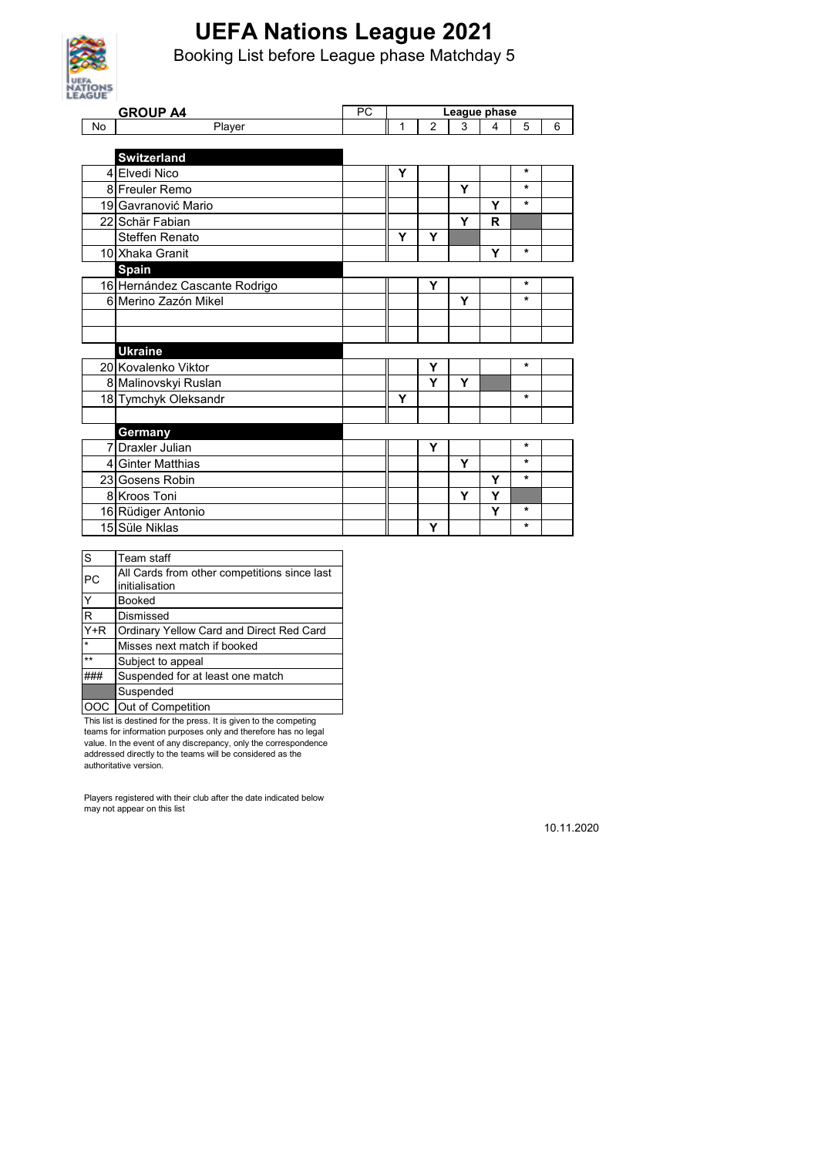

Booking List before League phase Matchday 5

| <b>AGUE</b> |                               |    |              |                |   |   |         |   |  |
|-------------|-------------------------------|----|--------------|----------------|---|---|---------|---|--|
|             | <b>GROUP A4</b>               | PC | League phase |                |   |   |         |   |  |
| No          | Player                        |    | 1            | $\overline{2}$ | 3 | 4 | 5       | 6 |  |
|             |                               |    |              |                |   |   |         |   |  |
|             | <b>Switzerland</b>            |    |              |                |   |   | $\star$ |   |  |
|             | 4 Elvedi Nico                 |    | Y            |                |   |   | $\star$ |   |  |
|             | 8 Freuler Remo                |    |              |                | Y |   | *       |   |  |
|             | 19 Gavranović Mario           |    |              |                |   | Y |         |   |  |
|             | 22 Schär Fabian               |    |              |                | Y | R |         |   |  |
|             | <b>Steffen Renato</b>         |    | Y            | Y              |   |   |         |   |  |
|             | 10 Xhaka Granit               |    |              |                |   | Y | *       |   |  |
|             | <b>Spain</b>                  |    |              |                |   |   |         |   |  |
|             | 16 Hernández Cascante Rodrigo |    |              | Y              |   |   | *       |   |  |
|             | 6 Merino Zazón Mikel          |    |              |                | Y |   | *       |   |  |
|             |                               |    |              |                |   |   |         |   |  |
|             |                               |    |              |                |   |   |         |   |  |
|             | <b>Ukraine</b>                |    |              |                |   |   |         |   |  |
|             | 20 Kovalenko Viktor           |    |              | Υ              |   |   | *       |   |  |
|             | 8 Malinovskyi Ruslan          |    |              | Y              | Y |   |         |   |  |
|             | 18 Tymchyk Oleksandr          |    | Υ            |                |   |   | *       |   |  |
|             |                               |    |              |                |   |   |         |   |  |
|             | Germany                       |    |              |                |   |   |         |   |  |
|             | 7 Draxler Julian              |    |              | Y              |   |   | *       |   |  |
|             | 4 Ginter Matthias             |    |              |                | Y |   | $\star$ |   |  |
|             | 23 Gosens Robin               |    |              |                |   | Υ | $\star$ |   |  |
|             | 8 Kroos Toni                  |    |              |                | Y | Y |         |   |  |
|             | 16 Rüdiger Antonio            |    |              |                |   | Y | *       |   |  |
|             | 15 Süle Niklas                |    |              | Υ              |   |   | *       |   |  |

| S                 | Team staff                                   |
|-------------------|----------------------------------------------|
| <b>PC</b>         | All Cards from other competitions since last |
|                   | initialisation                               |
| Y                 | <b>Booked</b>                                |
| $\mathsf{R}$      | Dismissed                                    |
| $\overline{Y}$ +R | Ordinary Yellow Card and Direct Red Card     |
| $\star$           | Misses next match if booked                  |
| $\star\star$      | Subject to appeal                            |
|                   | Suspended for at least one match             |
|                   | Suspended                                    |
|                   | Out of Competition                           |

This list is destined for the press. It is given to the competing teams for information purposes only and therefore has no legal value. In the event of any discrepancy, only the correspondence addressed directly to the teams will be considered as the authoritative version.

Players registered with their club after the date indicated below may not appear on this list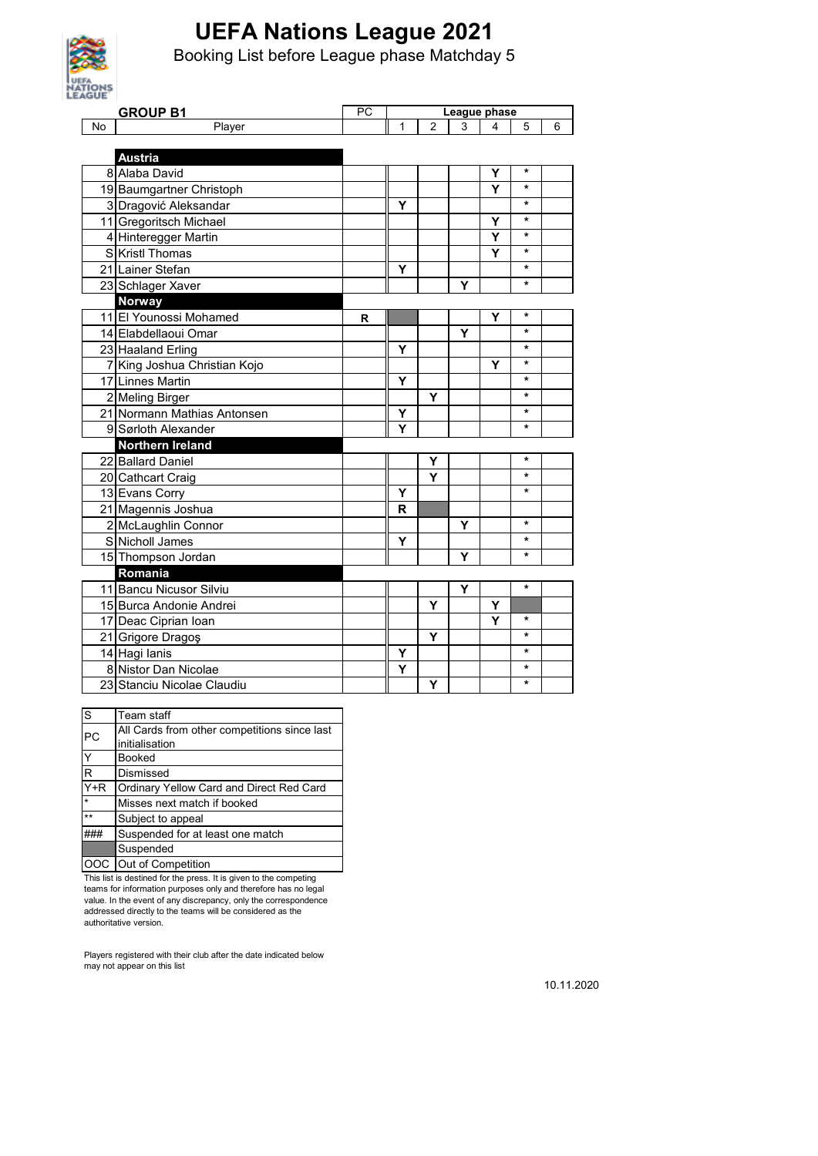

Booking List before League phase Matchday 5

| AGUE      |                              |    |              |                |   |   |         |   |
|-----------|------------------------------|----|--------------|----------------|---|---|---------|---|
|           | <b>GROUP B1</b>              | PC | League phase |                |   |   |         |   |
| <b>No</b> | Player                       |    | 1            | $\overline{2}$ | 3 | 4 | 5       | 6 |
|           |                              |    |              |                |   |   |         |   |
|           | <b>Austria</b>               |    |              |                |   |   |         |   |
|           | 8 Alaba David                |    |              |                |   | Υ | $\star$ |   |
|           | 19 Baumgartner Christoph     |    |              |                |   | Ý | $\star$ |   |
|           | 3 Dragović Aleksandar        |    | Υ            |                |   |   | $\star$ |   |
|           | 11 Gregoritsch Michael       |    |              |                |   | Υ | $\star$ |   |
|           | 4 Hinteregger Martin         |    |              |                |   | Y | $\star$ |   |
|           | S Kristl Thomas              |    |              |                |   | Y | $\star$ |   |
|           | 21 Lainer Stefan             |    | Y            |                |   |   | $\star$ |   |
|           | 23 Schlager Xaver            |    |              |                | Y |   | *       |   |
|           | <b>Norway</b>                |    |              |                |   |   |         |   |
|           | 11 El Younossi Mohamed       | R  |              |                |   | Υ | $\star$ |   |
|           | 14 Elabdellaoui Omar         |    |              |                | Y |   | $\star$ |   |
|           | 23 Haaland Erling            |    | Y            |                |   |   | $\star$ |   |
|           | 7 King Joshua Christian Kojo |    |              |                |   | Y | $\star$ |   |
|           | 17 Linnes Martin             |    | Y            |                |   |   | *       |   |
|           | 2 Meling Birger              |    |              | Υ              |   |   | *       |   |
|           | 21 Normann Mathias Antonsen  |    | Υ            |                |   |   | *       |   |
|           | 9 Sørloth Alexander          |    | Ý            |                |   |   | *       |   |
|           | <b>Northern Ireland</b>      |    |              |                |   |   |         |   |
|           | 22 Ballard Daniel            |    |              | Y              |   |   | *       |   |
|           | 20 Cathcart Craig            |    |              | Y              |   |   | *       |   |
|           | 13 Evans Corry               |    | Y            |                |   |   | *       |   |
|           | 21 Magennis Joshua           |    | R            |                |   |   |         |   |
|           | 2 McLaughlin Connor          |    |              |                | Υ |   | *       |   |
|           | S Nicholl James              |    | Y            |                |   |   | *       |   |
|           | 15 Thompson Jordan           |    |              |                | Y |   | *       |   |
|           | Romania                      |    |              |                |   |   |         |   |
|           | 11 Bancu Nicusor Silviu      |    |              |                | Y |   | *       |   |
|           | 15 Burca Andonie Andrei      |    |              | Υ              |   | Υ |         |   |
|           | 17 Deac Ciprian Ioan         |    |              |                |   | Y | *       |   |
|           | 21 Grigore Dragoş            |    |              | Υ              |   |   | *       |   |
|           | 14 Hagi lanis                |    | Y            |                |   |   | *       |   |
|           | 8 Nistor Dan Nicolae         |    | Y            |                |   |   | *       |   |
|           | 23 Stanciu Nicolae Claudiu   |    |              | Y              |   |   | *       |   |

| S            | Team staff                                   |
|--------------|----------------------------------------------|
| <b>PC</b>    | All Cards from other competitions since last |
|              | initialisation                               |
| Y            | <b>Booked</b>                                |
| R            | Dismissed                                    |
| $Y+R$        | Ordinary Yellow Card and Direct Red Card     |
| $\star$      | Misses next match if booked                  |
| $\star\star$ | Subject to appeal                            |
|              | Suspended for at least one match             |
|              | Suspended                                    |
| OOC.         | Out of Competition                           |

This list is destined for the press. It is given to the competing

teams for information purposes only and therefore has no legal value. In the event of any discrepancy, only the correspondence addressed directly to the teams will be considered as the authoritative version.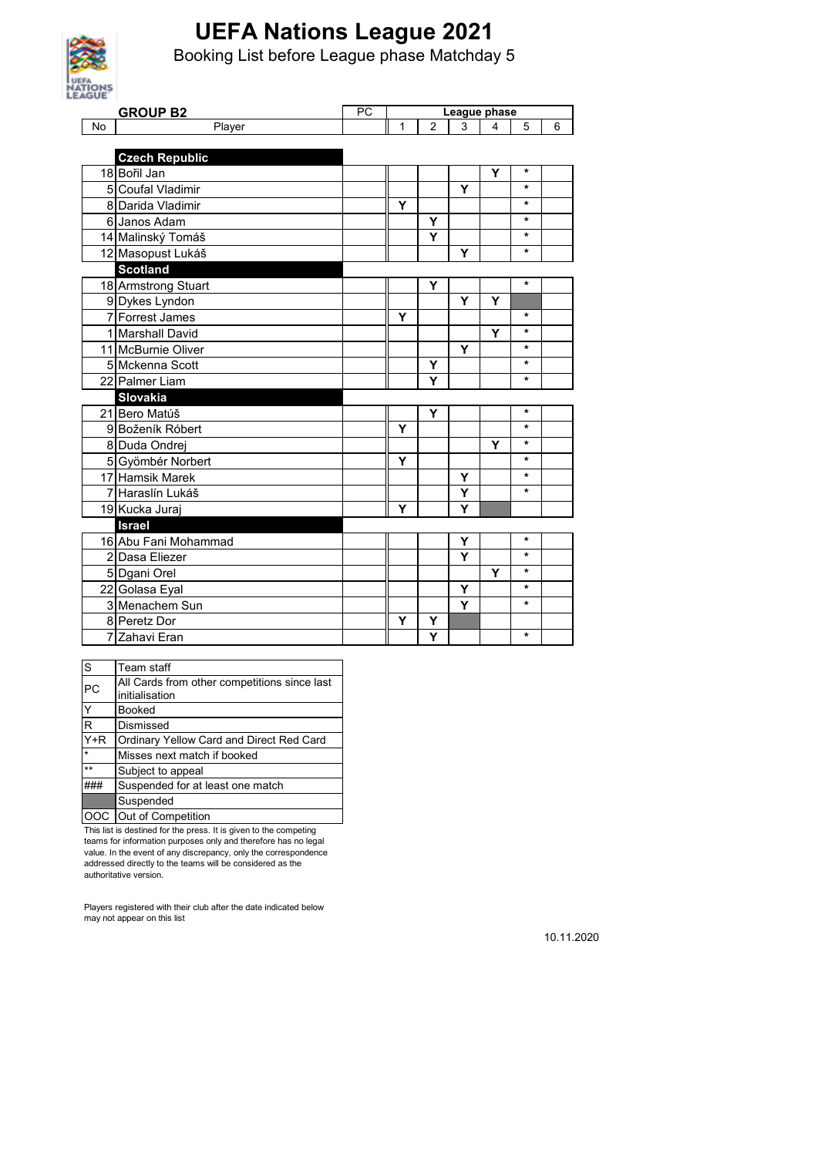

Booking List before League phase Matchday 5

| AGUE |                           | PC | League phase |                |   |   |         |   |
|------|---------------------------|----|--------------|----------------|---|---|---------|---|
| No   | <b>GROUP B2</b><br>Player |    | 1            | $\overline{2}$ | 3 | 4 | 5       | 6 |
|      |                           |    |              |                |   |   |         |   |
|      | <b>Czech Republic</b>     |    |              |                |   |   |         |   |
|      | 18 Bořil Jan              |    |              |                |   | Y | $\ast$  |   |
|      | 5 Coufal Vladimir         |    |              |                | Ý |   | $\star$ |   |
|      | 8 Darida Vladimir         |    | Y            |                |   |   | *       |   |
|      | 6 Janos Adam              |    |              | Y              |   |   | $\star$ |   |
|      | 14 Malinský Tomáš         |    |              | Υ              |   |   | $\star$ |   |
|      | 12 Masopust Lukáš         |    |              |                | Y |   | $\star$ |   |
|      | <b>Scotland</b>           |    |              |                |   |   |         |   |
|      | 18 Armstrong Stuart       |    |              | Y              |   |   | $\star$ |   |
|      | 9 Dykes Lyndon            |    |              |                | Y | Y |         |   |
|      | 7 Forrest James           |    | Y            |                |   |   | $\star$ |   |
|      | 1 Marshall David          |    |              |                |   | Y | $\star$ |   |
|      | 11 McBurnie Oliver        |    |              |                | Y |   | $\star$ |   |
|      | 5 Mckenna Scott           |    |              | Υ              |   |   | *       |   |
|      | 22 Palmer Liam            |    |              | Y              |   |   | $\star$ |   |
|      | Slovakia                  |    |              |                |   |   |         |   |
|      | 21 Bero Matúš             |    |              | Y              |   |   | $\star$ |   |
|      | 9 Boženík Róbert          |    | Y            |                |   |   | $\star$ |   |
|      | 8 Duda Ondrej             |    |              |                |   | Υ | $\star$ |   |
|      | 5 Gyömbér Norbert         |    | Y            |                |   |   | *       |   |
|      | 17 Hamsik Marek           |    |              |                | Y |   | $\star$ |   |
|      | 7 Haraslín Lukáš          |    |              |                | Υ |   | $\star$ |   |
|      | 19 Kucka Juraj            |    | Y            |                | Υ |   |         |   |
|      | <b>Israel</b>             |    |              |                |   |   |         |   |
|      | 16 Abu Fani Mohammad      |    |              |                | Y |   | *       |   |
|      | 2 Dasa Eliezer            |    |              |                | Y |   | $\star$ |   |
|      | 5 Dgani Orel              |    |              |                |   | Y | *       |   |
|      | 22 Golasa Eyal            |    |              |                | Y |   | $\star$ |   |
|      | 3 Menachem Sun            |    |              |                | Ý |   | $\star$ |   |
|      | 8 Peretz Dor              |    | Y            | Υ              |   |   |         |   |
|      | 7 Zahavi Eran             |    |              | Ý              |   |   | $\star$ |   |

| S                 | Team staff                                   |
|-------------------|----------------------------------------------|
| <b>PC</b>         | All Cards from other competitions since last |
|                   | initialisation                               |
| Ý                 | <b>Booked</b>                                |
| R                 | Dismissed                                    |
| $\overline{Y}$ +R | Ordinary Yellow Card and Direct Red Card     |
| $\star$           | Misses next match if booked                  |
| $**$              | Subject to appeal                            |
|                   | Suspended for at least one match             |
|                   | Suspended                                    |
|                   | OOC Out of Competition                       |

This list is destined for the press. It is given to the competing teams for information purposes only and therefore has no legal value. In the event of any discrepancy, only the correspondence addressed directly to the teams will be considered as the authoritative version.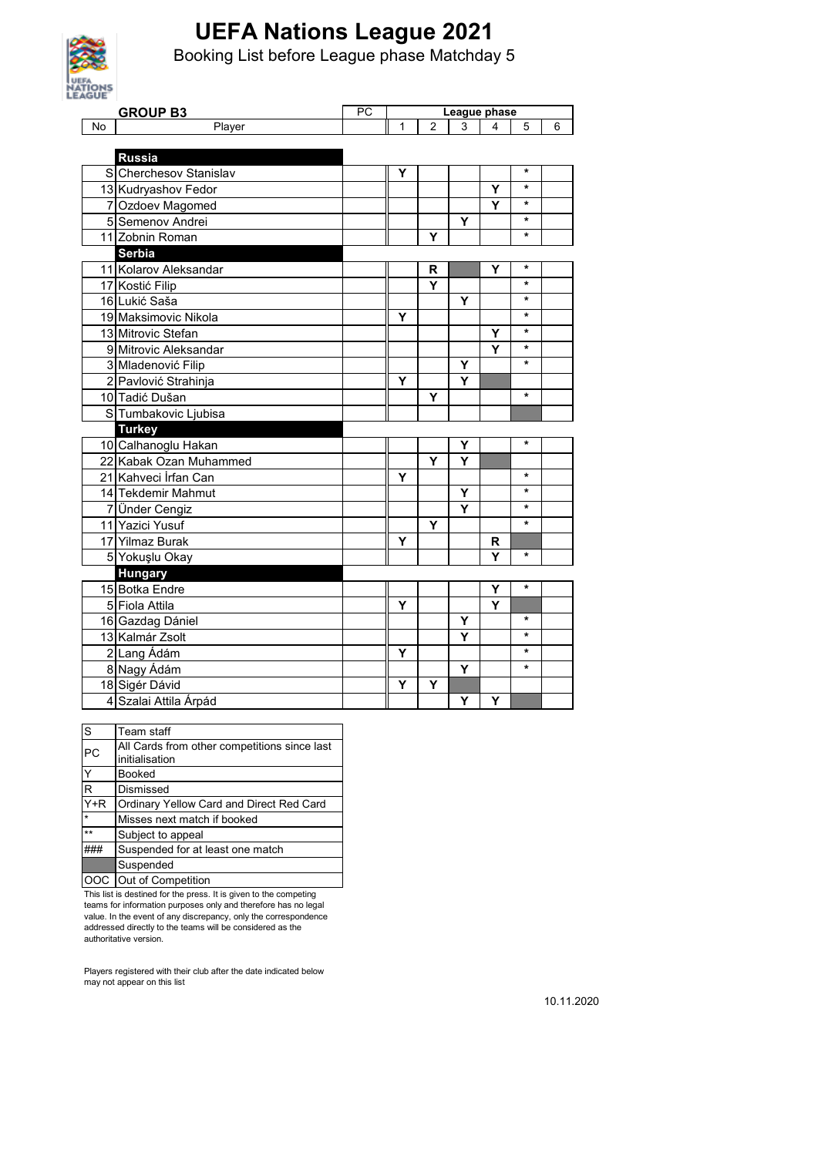

Booking List before League phase Matchday 5

| <b>AGUE</b> |                        |    |              |                |   |   |         |   |
|-------------|------------------------|----|--------------|----------------|---|---|---------|---|
|             | <b>GROUP B3</b>        | PC | League phase |                |   |   |         |   |
| <b>No</b>   | Player                 |    | 1            | $\overline{2}$ | 3 | 4 | 5       | 6 |
|             |                        |    |              |                |   |   |         |   |
|             | <b>Russia</b>          |    |              |                |   |   |         |   |
|             | S Cherchesov Stanislav |    | Υ            |                |   |   | $\star$ |   |
|             | 13 Kudryashov Fedor    |    |              |                |   | Y | $\star$ |   |
|             | 7 Ozdoev Magomed       |    |              |                |   | Y | *       |   |
|             | 5 Semenov Andrei       |    |              |                | Υ |   | *       |   |
|             | 11 Zobnin Roman        |    |              | Y              |   |   | $\star$ |   |
|             | Serbia                 |    |              |                |   |   |         |   |
|             | 11 Kolarov Aleksandar  |    |              | R              |   | Υ | $\star$ |   |
|             | 17 Kostić Filip        |    |              | Υ              |   |   | *       |   |
|             | 16 Lukić Saša          |    |              |                | Y |   | ٠       |   |
|             | 19 Maksimovic Nikola   |    | Y            |                |   |   | $\star$ |   |
|             | 13 Mitrovic Stefan     |    |              |                |   | Y | ÷       |   |
|             | 9 Mitrovic Aleksandar  |    |              |                |   | Y | $\star$ |   |
|             | 3 Mladenović Filip     |    |              |                | Υ |   | $\star$ |   |
|             | 2 Pavlović Strahinja   |    | Y            |                | Ý |   |         |   |
|             | 10 Tadić Dušan         |    |              | Y              |   |   | $\star$ |   |
|             | S Tumbakovic Ljubisa   |    |              |                |   |   |         |   |
|             | <b>Turkey</b>          |    |              |                |   |   |         |   |
|             | 10 Calhanoglu Hakan    |    |              |                | Y |   | $\star$ |   |
|             | 22 Kabak Ozan Muhammed |    |              | Ÿ              | Y |   |         |   |
|             | 21 Kahveci İrfan Can   |    | Y            |                |   |   | $\star$ |   |
|             | 14 Tekdemir Mahmut     |    |              |                | Y |   | *       |   |
|             | 7 Ünder Cengiz         |    |              |                | Y |   | $\star$ |   |
|             | 11 Yazici Yusuf        |    |              | Y              |   |   | $\star$ |   |
|             | 17 Yilmaz Burak        |    | Y            |                |   | R |         |   |
|             | 5 Yokuşlu Okay         |    |              |                |   | Y | $\ast$  |   |
|             | <b>Hungary</b>         |    |              |                |   |   |         |   |
|             | 15 Botka Endre         |    |              |                |   | Y | $\star$ |   |
|             | 5 Fiola Attila         |    | Y            |                |   | Y |         |   |
|             | 16 Gazdag Dániel       |    |              |                | Υ |   | $\star$ |   |
|             | 13 Kalmár Zsolt        |    |              |                | Y |   | $\star$ |   |
|             | 2 Lang Ádám            |    | Υ            |                |   |   | $\star$ |   |
|             | 8 Nagy Ádám            |    |              |                | Y |   | $\star$ |   |
|             | 18 Sigér Dávid         |    | Y            | Y              |   |   |         |   |
|             | 4 Szalai Attila Árpád  |    |              |                | Υ | Y |         |   |

| S                 | Team staff                                   |
|-------------------|----------------------------------------------|
| PC                | All Cards from other competitions since last |
|                   | initialisation                               |
| Y                 | <b>Booked</b>                                |
| R                 | Dismissed                                    |
| $\overline{Y}$ +R | Ordinary Yellow Card and Direct Red Card     |
| ÷                 | Misses next match if booked                  |
| $**$              | Subject to appeal                            |
|                   | Suspended for at least one match             |
|                   | Suspended                                    |
| OOC.              | Out of Competition                           |

This list is destined for the press. It is given to the competing teams for information purposes only and therefore has no legal value. In the event of any discrepancy, only the correspondence addressed directly to the teams will be considered as the authoritative version.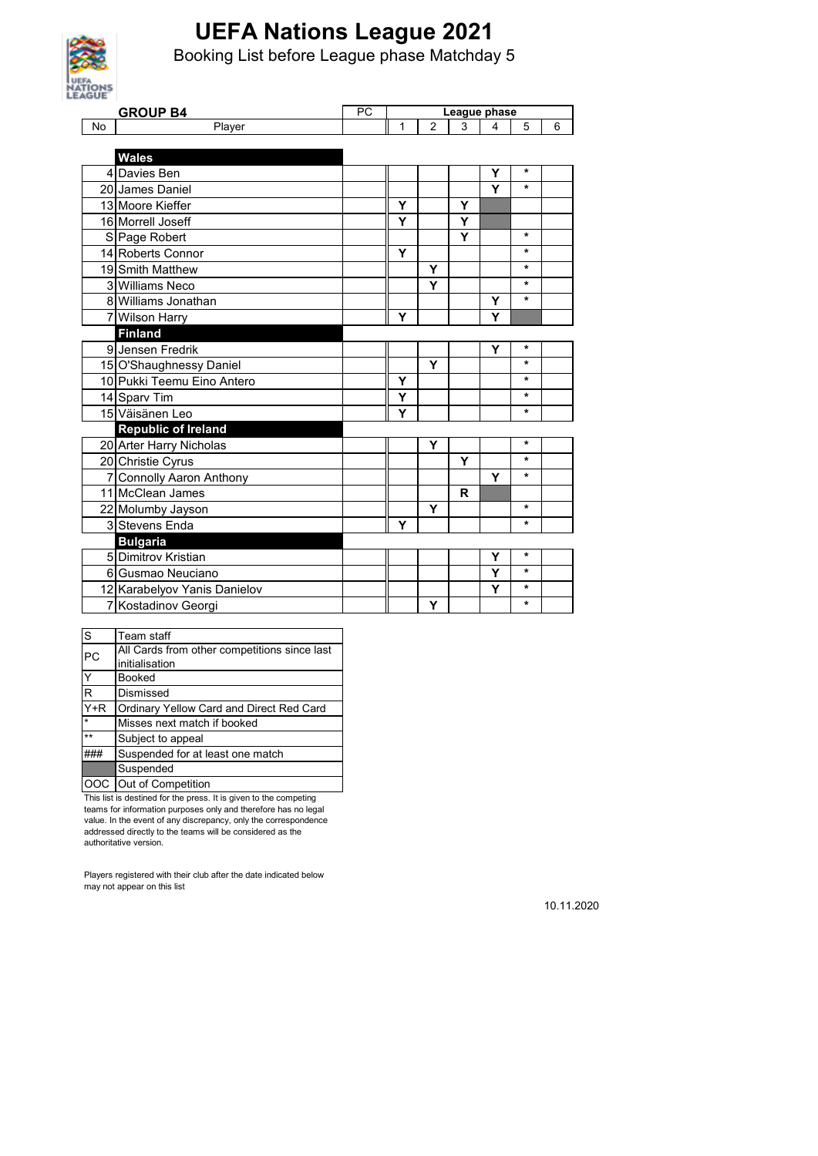

Booking List before League phase Matchday 5

| <b>AGUE</b> |                              |    |              |                |              |   |         |   |
|-------------|------------------------------|----|--------------|----------------|--------------|---|---------|---|
|             | <b>GROUP B4</b>              | PC | League phase |                |              |   |         |   |
| <b>No</b>   | Player                       |    | 1            | $\overline{2}$ | 3            | 4 | 5       | 6 |
|             |                              |    |              |                |              |   |         |   |
|             | <b>Wales</b>                 |    |              |                |              |   |         |   |
|             | 4 Davies Ben                 |    |              |                |              | Y | *       |   |
|             | 20 James Daniel              |    |              |                |              | Y | $\star$ |   |
|             | 13 Moore Kieffer             |    | Υ            |                | Y            |   |         |   |
|             | 16 Morrell Joseff            |    | Y            |                | Y            |   |         |   |
|             | S Page Robert                |    |              |                | Y            |   | $\star$ |   |
|             | 14 Roberts Connor            |    | Y            |                |              |   | $\star$ |   |
|             | 19 Smith Matthew             |    |              | Y              |              |   | $\star$ |   |
|             | 3 Williams Neco              |    |              | Y              |              |   | $\star$ |   |
|             | 8 Williams Jonathan          |    |              |                |              | Υ | $\star$ |   |
|             | 7 Wilson Harry               |    | Y            |                |              | Y |         |   |
|             | <b>Finland</b>               |    |              |                |              |   |         |   |
|             | 9 Jensen Fredrik             |    |              |                |              | Y | *       |   |
|             | 15 O'Shaughnessy Daniel      |    |              | Y              |              |   | $\star$ |   |
|             | 10 Pukki Teemu Eino Antero   |    | Y            |                |              |   | $\star$ |   |
|             | 14 Sparv Tim                 |    | Y            |                |              |   | $\star$ |   |
|             | 15 Väisänen Leo              |    | Y            |                |              |   | $\star$ |   |
|             | <b>Republic of Ireland</b>   |    |              |                |              |   |         |   |
|             | 20 Arter Harry Nicholas      |    |              | Y              |              |   | $\star$ |   |
|             | 20 Christie Cyrus            |    |              |                | Υ            |   | *       |   |
|             | 7 Connolly Aaron Anthony     |    |              |                |              | Y | $\star$ |   |
|             | 11 McClean James             |    |              |                | $\mathsf{R}$ |   |         |   |
|             | 22 Molumby Jayson            |    |              | Y              |              |   | $\star$ |   |
|             | 3 Stevens Enda               |    | Υ            |                |              |   | $\star$ |   |
|             | <b>Bulgaria</b>              |    |              |                |              |   |         |   |
|             | 5 Dimitrov Kristian          |    |              |                |              | Y | *       |   |
|             | 6 Gusmao Neuciano            |    |              |                |              | Y | $\star$ |   |
|             | 12 Karabelyov Yanis Danielov |    |              |                |              | Y | $\star$ |   |
|             | 7 Kostadinov Georgi          |    |              | Υ              |              |   | $\star$ |   |

| S           | Team staff                                   |  |  |  |
|-------------|----------------------------------------------|--|--|--|
| PC          | All Cards from other competitions since last |  |  |  |
|             | initialisation                               |  |  |  |
| Y<br>Booked |                                              |  |  |  |
| R           | Dismissed                                    |  |  |  |
| $Y+R$       | Ordinary Yellow Card and Direct Red Card     |  |  |  |
| $\star$     | Misses next match if booked                  |  |  |  |
| $**$        | Subject to appeal                            |  |  |  |
|             | Suspended for at least one match             |  |  |  |
|             | Suspended                                    |  |  |  |
|             | Out of Competition                           |  |  |  |

This list is destined for the press. It is given to the competing teams for information purposes only and therefore has no legal value. In the event of any discrepancy, only the correspondence addressed directly to the teams will be considered as the authoritative version.

Players registered with their club after the date indicated below may not appear on this list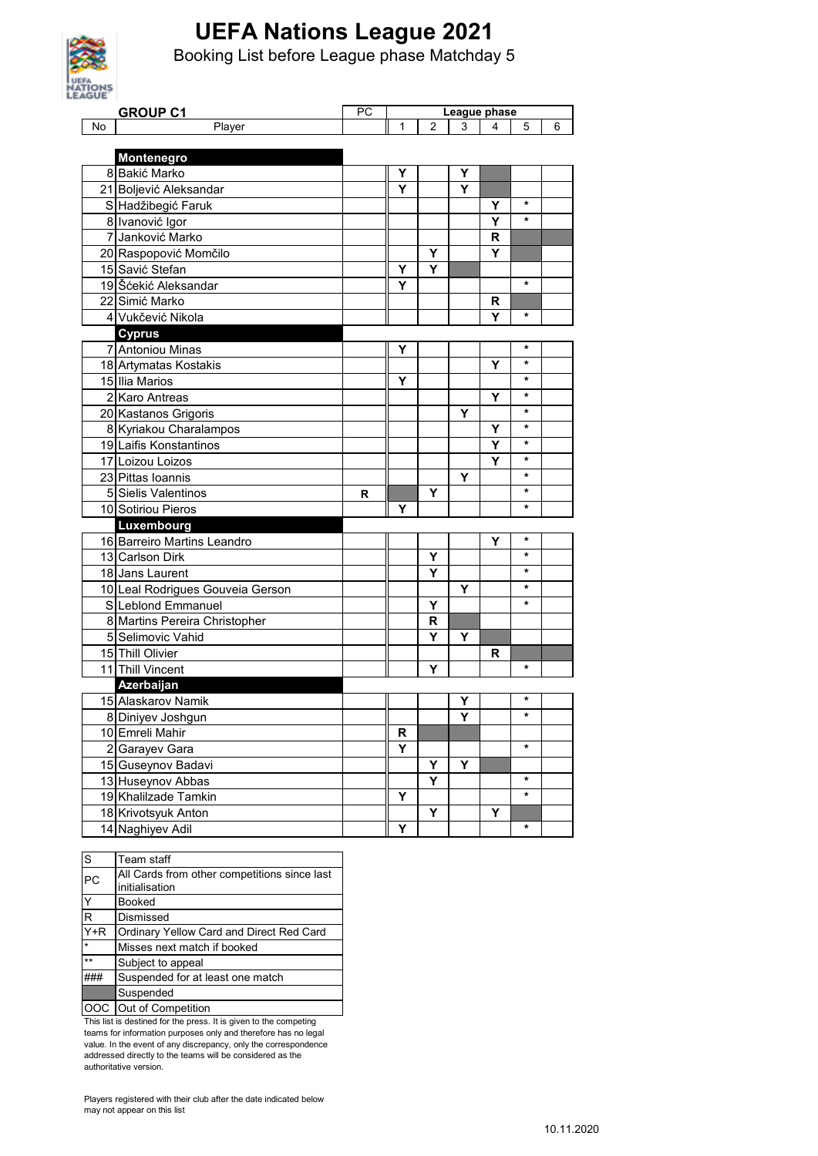

Booking List before League phase Matchday 5

| <b>AGUE</b> |                                  |    |                |                |   |   |         |   |
|-------------|----------------------------------|----|----------------|----------------|---|---|---------|---|
|             | <b>GROUP C1</b>                  | PC | League phase   |                |   |   |         |   |
| No          | Player                           |    | 1              | $\overline{2}$ | 3 | 4 | 5       | 6 |
|             |                                  |    |                |                |   |   |         |   |
|             | Montenegro                       |    |                |                |   |   |         |   |
|             | 8 Bakić Marko                    |    | Υ              |                | Υ |   |         |   |
|             | 21 Boljević Aleksandar           |    | Y              |                | Υ |   |         |   |
|             | S Hadžibegić Faruk               |    |                |                |   | Y | $\star$ |   |
|             | 8 Ivanović Igor                  |    |                |                |   | Υ | $\star$ |   |
|             | 7 Janković Marko                 |    |                |                |   | R |         |   |
|             | 20 Raspopović Momčilo            |    |                | Y              |   | Y |         |   |
|             | 15 Savić Stefan                  |    | Y              | Υ              |   |   |         |   |
|             | 19 Šćekić Aleksandar             |    | Y              |                |   |   | $\star$ |   |
|             | 22 Simić Marko                   |    |                |                |   | R |         |   |
|             | 4 Vukčević Nikola                |    |                |                |   | Υ | *       |   |
|             | <b>Cyprus</b>                    |    |                |                |   |   |         |   |
|             | 7 Antoniou Minas                 |    | Υ              |                |   |   | $\star$ |   |
|             | 18 Artymatas Kostakis            |    |                |                |   | Υ | $\star$ |   |
|             | 15 Ilia Marios                   |    | Y              |                |   |   | $\star$ |   |
|             | 2 Karo Antreas                   |    |                |                |   | Y | $\ast$  |   |
|             | 20 Kastanos Grigoris             |    |                |                | Υ |   | $\star$ |   |
|             | 8 Kyriakou Charalampos           |    |                |                |   | Y | *       |   |
|             | 19 Laifis Konstantinos           |    |                |                |   | Y | $\star$ |   |
|             | 17 Loizou Loizos                 |    |                |                |   | Y | $\star$ |   |
|             | 23 Pittas Ioannis                |    |                |                | Υ |   | $\star$ |   |
|             | 5 Sielis Valentinos              | R  |                | Y              |   |   | $\star$ |   |
|             | 10 Sotiriou Pieros               |    | Υ              |                |   |   | *       |   |
|             | Luxembourg                       |    |                |                |   |   |         |   |
|             | 16 Barreiro Martins Leandro      |    |                |                |   | Υ | $\ast$  |   |
|             | 13 Carlson Dirk                  |    |                | Y              |   |   | $\star$ |   |
|             | 18 Jans Laurent                  |    |                | Y              |   |   | *       |   |
|             | 10 Leal Rodrigues Gouveia Gerson |    |                |                | Y |   | $\star$ |   |
|             | S Leblond Emmanuel               |    |                | Y              |   |   | $\ast$  |   |
|             | 8 Martins Pereira Christopher    |    |                | R              |   |   |         |   |
|             | 5 Selimovic Vahid                |    |                | Υ              | Υ |   |         |   |
|             | 15 Thill Olivier                 |    |                |                |   | R |         |   |
|             | 11 Thill Vincent                 |    |                | Υ              |   |   | $\star$ |   |
|             | Azerbaijan                       |    |                |                |   |   |         |   |
|             | 15 Alaskarov Namik               |    |                |                | Υ |   | *       |   |
|             | 8 Diniyev Joshgun                |    |                |                | Y |   | $\star$ |   |
|             | 10 Emreli Mahir                  |    | R              |                |   |   |         |   |
|             | 2 Garayev Gara                   |    | $\overline{Y}$ |                |   |   | $\star$ |   |
|             | 15 Guseynov Badavi               |    |                | Υ              | Υ |   |         |   |
|             | 13 Huseynov Abbas                |    |                | Y              |   |   | $\star$ |   |
|             | 19 Khalilzade Tamkin             |    | Y              |                |   |   | $\star$ |   |
|             | 18 Krivotsyuk Anton              |    |                | Υ              |   | Y |         |   |
|             | 14 Naghiyev Adil                 |    | Υ              |                |   |   | *       |   |
|             |                                  |    |                |                |   |   |         |   |

| S                | Team staff                                   |
|------------------|----------------------------------------------|
| <b>PC</b>        | All Cards from other competitions since last |
|                  | initialisation                               |
| Υ                | Booked                                       |
| R                | Dismissed                                    |
| $\overline{Y+R}$ | Ordinary Yellow Card and Direct Red Card     |
| $\star$          | Misses next match if booked                  |
| $***$            | Subject to appeal                            |
|                  | Suspended for at least one match             |
|                  | Suspended                                    |
|                  | Out of Competition                           |

This list is destined for the press. It is given to the competing teams for information purposes only and therefore has no legal value. In the event of any discrepancy, only the correspondence addressed directly to the teams will be considered as the authoritative version.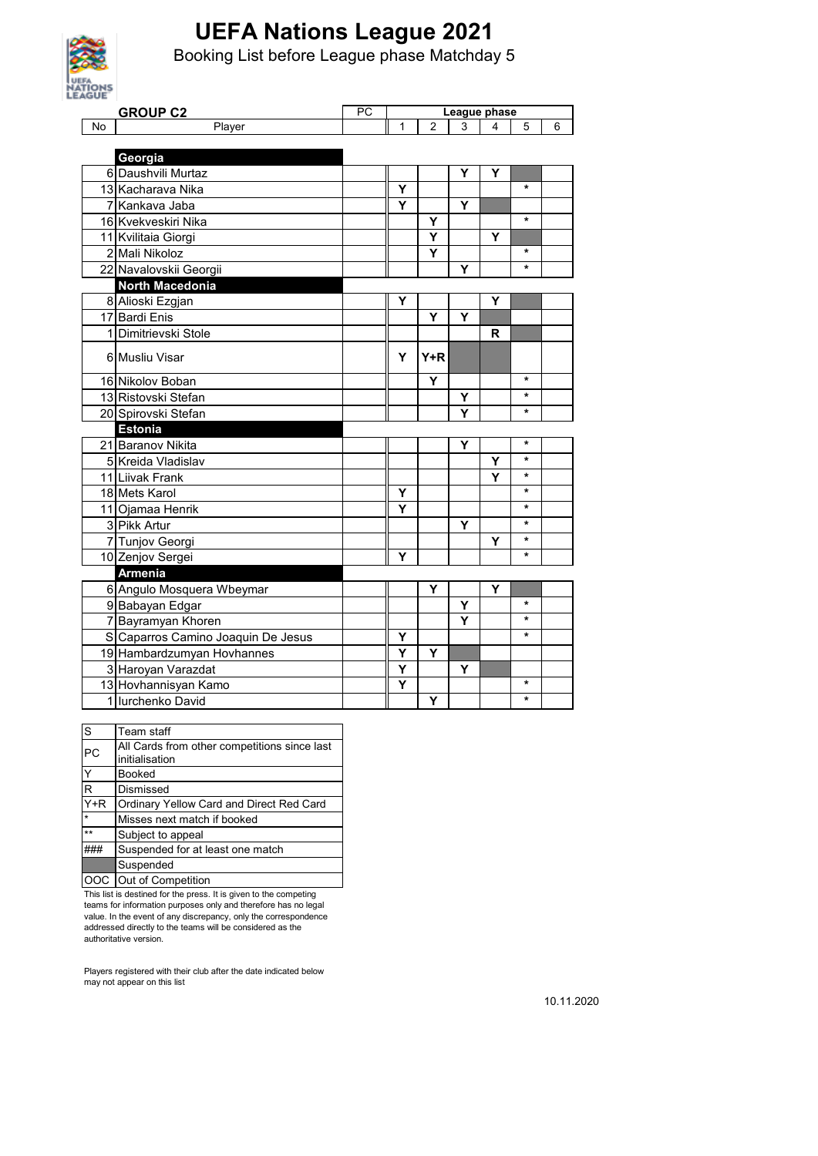

Booking List before League phase Matchday 5

| AGUE      |                                    |    |              |                |   |   |         |   |
|-----------|------------------------------------|----|--------------|----------------|---|---|---------|---|
|           | <b>GROUP C2</b>                    | PC | League phase |                |   |   |         |   |
| <b>No</b> | Player                             |    | 1            | $\overline{2}$ | 3 | 4 | 5       | 6 |
|           |                                    |    |              |                |   |   |         |   |
|           | Georgia                            |    |              |                |   |   |         |   |
|           | 6 Daushvili Murtaz                 |    |              |                | Y | Υ |         |   |
|           | 13 Kacharava Nika                  |    | Y            |                |   |   | $\star$ |   |
|           | 7 Kankava Jaba                     |    | Y            |                | Υ |   |         |   |
|           | 16 Kvekveskiri Nika                |    |              | Y              |   |   | $\star$ |   |
|           | 11 Kvilitaia Giorgi                |    |              | Υ              |   | Y |         |   |
|           | 2 Mali Nikoloz                     |    |              | Υ              |   |   | $\star$ |   |
|           | 22 Navalovskii Georgii             |    |              |                | Y |   | $\star$ |   |
|           | North Macedonia                    |    |              |                |   |   |         |   |
|           | 8 Alioski Ezgjan                   |    | Y            |                |   | Υ |         |   |
|           | 17 Bardi Enis                      |    |              | Υ              | Υ |   |         |   |
|           | 1 Dimitrievski Stole               |    |              |                |   | R |         |   |
|           | 6 Musliu Visar                     |    | Y            | $Y+R$          |   |   |         |   |
|           | 16 Nikolov Boban                   |    |              | Ÿ              |   |   | $\star$ |   |
|           | 13 Ristovski Stefan                |    |              |                | Υ |   | *       |   |
|           | 20 Spirovski Stefan                |    |              |                | Ý |   | *       |   |
|           | <b>Estonia</b>                     |    |              |                |   |   |         |   |
|           | 21 Baranov Nikita                  |    |              |                | Ý |   | $\star$ |   |
|           | 5 Kreida Vladislav                 |    |              |                |   | Υ | $\star$ |   |
|           | 11 Liivak Frank                    |    |              |                |   | Y | $\star$ |   |
|           | 18 Mets Karol                      |    | Y            |                |   |   | *       |   |
|           | 11 Ojamaa Henrik                   |    | Y            |                |   |   | *       |   |
|           | 3 Pikk Artur                       |    |              |                | Υ |   | $\star$ |   |
|           | 7 Tunjov Georgi                    |    |              |                |   | Υ | $\star$ |   |
|           | 10 Zenjov Sergei                   |    | Υ            |                |   |   | *       |   |
|           | <b>Armenia</b>                     |    |              |                |   |   |         |   |
|           | 6 Angulo Mosquera Wbeymar          |    |              | Υ              |   | Υ |         |   |
|           | 9 Babayan Edgar                    |    |              |                | Υ |   | *       |   |
|           | 7 Bayramyan Khoren                 |    |              |                | Y |   | *       |   |
|           | S Caparros Camino Joaquin De Jesus |    | Υ            |                |   |   | *       |   |
|           | 19 Hambardzumyan Hovhannes         |    | Υ            | Y              |   |   |         |   |
|           | 3 Haroyan Varazdat                 |    | Y            |                | Υ |   |         |   |
|           | 13 Hovhannisyan Kamo               |    | Y            |                |   |   | *       |   |
|           | 1 lurchenko David                  |    |              | Υ              |   |   | *       |   |

| S       | Team staff                                   |
|---------|----------------------------------------------|
| PC      | All Cards from other competitions since last |
|         | initialisation                               |
| Ý       | <b>Booked</b>                                |
| R       | Dismissed                                    |
| $Y+R$   | Ordinary Yellow Card and Direct Red Card     |
| $\star$ | Misses next match if booked                  |
| $**$    | Subject to appeal                            |
|         | Suspended for at least one match             |
|         | Suspended                                    |
|         | OOC Out of Competition                       |

This list is destined for the press. It is given to the competing teams for information purposes only and therefore has no legal value. In the event of any discrepancy, only the correspondence addressed directly to the teams will be considered as the authoritative version.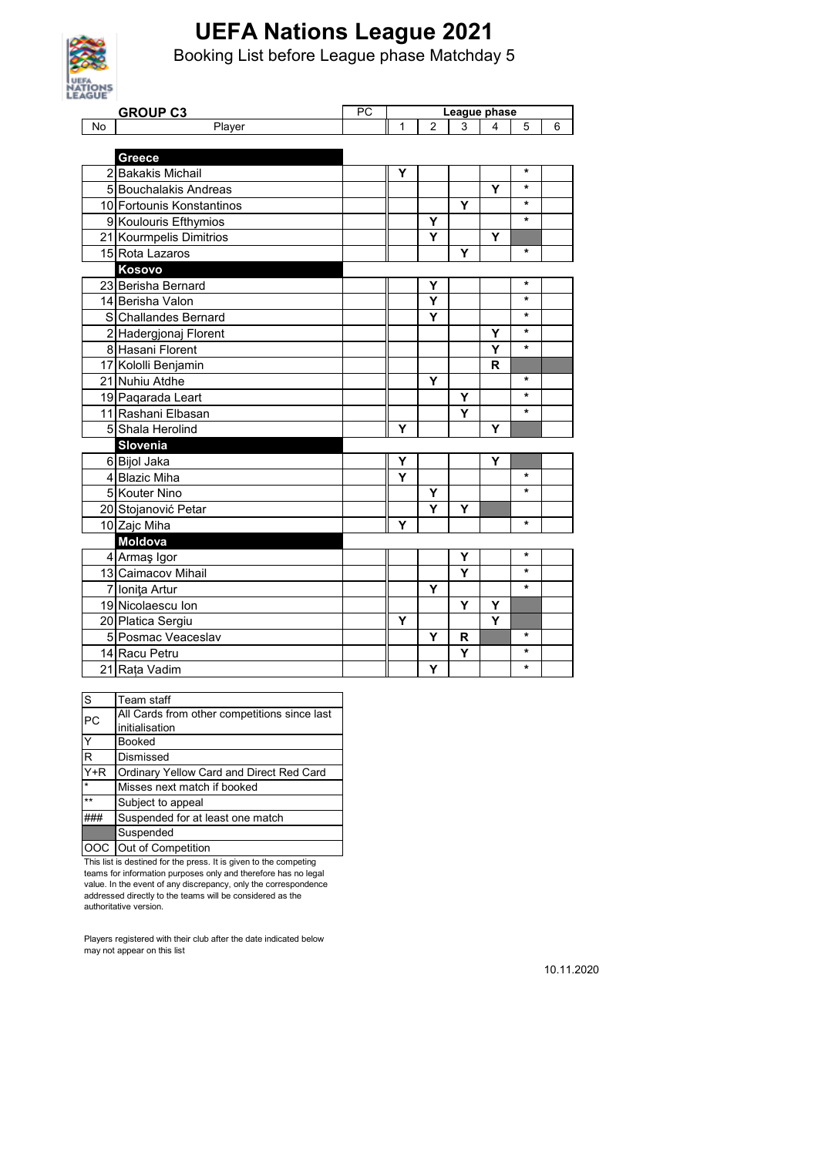

Booking List before League phase Matchday 5

| AGUE      |                           |    |              |                |   |   |         |   |
|-----------|---------------------------|----|--------------|----------------|---|---|---------|---|
|           | <b>GROUP C3</b>           | PC | League phase |                |   |   |         |   |
| <b>No</b> | Player                    |    | 1            | $\overline{2}$ | 3 | 4 | 5       | 6 |
|           |                           |    |              |                |   |   |         |   |
|           | Greece                    |    |              |                |   |   |         |   |
|           | 2 Bakakis Michail         |    | Υ            |                |   |   | *       |   |
|           | 5 Bouchalakis Andreas     |    |              |                |   | Y | $\star$ |   |
|           | 10 Fortounis Konstantinos |    |              |                | Y |   | $\star$ |   |
|           | 9 Koulouris Efthymios     |    |              | Υ              |   |   | $\star$ |   |
|           | 21 Kourmpelis Dimitrios   |    |              | Ÿ              |   | Y |         |   |
|           | 15 Rota Lazaros           |    |              |                | Y |   | $\star$ |   |
|           | Kosovo                    |    |              |                |   |   |         |   |
|           | 23 Berisha Bernard        |    |              | Y              |   |   | *       |   |
|           | 14 Berisha Valon          |    |              | Ý              |   |   | $\star$ |   |
|           | S Challandes Bernard      |    |              | Y              |   |   | $\star$ |   |
|           | 2 Hadergjonaj Florent     |    |              |                |   | Y | *       |   |
|           | 8 Hasani Florent          |    |              |                |   | Y | $\star$ |   |
|           | 17 Kololli Benjamin       |    |              |                |   | R |         |   |
|           | 21 Nuhiu Atdhe            |    |              | Y              |   |   | $\star$ |   |
|           | 19 Pagarada Leart         |    |              |                | Y |   | $\star$ |   |
|           | 11 Rashani Elbasan        |    |              |                | Ý |   | $\star$ |   |
|           | 5 Shala Herolind          |    | Y            |                |   | Y |         |   |
|           | Slovenia                  |    |              |                |   |   |         |   |
|           | 6 Bijol Jaka              |    | Υ            |                |   | Y |         |   |
|           | 4 Blazic Miha             |    | Y            |                |   |   | $\star$ |   |
|           | 5 Kouter Nino             |    |              | Υ              |   |   | $\star$ |   |
|           | 20 Stojanović Petar       |    |              | Y              | Y |   |         |   |
|           | 10 Zajc Miha              |    | Y            |                |   |   | *       |   |
|           | <b>Moldova</b>            |    |              |                |   |   |         |   |
|           | 4 Armaş Igor              |    |              |                | Y |   | $\star$ |   |
|           | 13 Caimacov Mihail        |    |              |                | Y |   | $\star$ |   |
|           | 7 Ionita Artur            |    |              | Υ              |   |   | *       |   |
|           | 19 Nicolaescu Ion         |    |              |                | Y | Y |         |   |
|           | 20 Platica Sergiu         |    | Y            |                |   | Ý |         |   |
|           | 5 Posmac Veaceslav        |    |              | Y              | R |   | $\star$ |   |
|           | 14 Racu Petru             |    |              |                | Υ |   | *       |   |
|           | 21 Rata Vadim             |    |              | Y              |   |   | *       |   |

| S            | Team staff                                   |
|--------------|----------------------------------------------|
| PC           | All Cards from other competitions since last |
|              | initialisation                               |
| Y            | <b>Booked</b>                                |
| $\mathsf{R}$ | Dismissed                                    |
| $Y+R$        | Ordinary Yellow Card and Direct Red Card     |
| $\star$      | Misses next match if booked                  |
| **           | Subject to appeal                            |
|              | Suspended for at least one match             |
|              | Suspended                                    |
|              | Out of Competition                           |

This list is destined for the press. It is given to the competing teams for information purposes only and therefore has no legal value. In the event of any discrepancy, only the correspondence addressed directly to the teams will be considered as the authoritative version.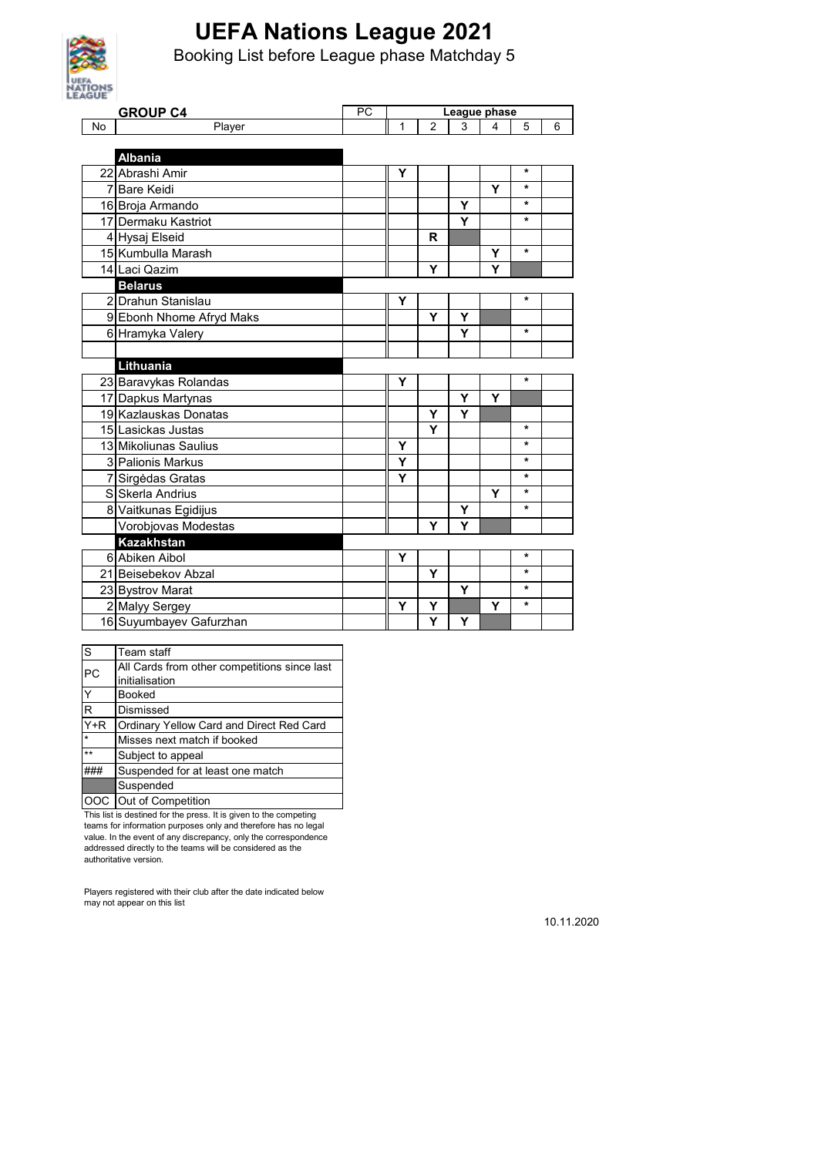

Booking List before League phase Matchday 5

| <b>AGUE</b> |                          |           |              |                         |   |   |         |   |
|-------------|--------------------------|-----------|--------------|-------------------------|---|---|---------|---|
|             | <b>GROUP C4</b>          | <b>PC</b> | League phase |                         |   |   |         |   |
| No          | Player                   |           | 1            | $\overline{2}$          | 3 | 4 | 5       | 6 |
|             |                          |           |              |                         |   |   |         |   |
|             | <b>Albania</b>           |           |              |                         |   |   |         |   |
|             | 22 Abrashi Amir          |           | Υ            |                         |   |   | *       |   |
|             | 7 Bare Keidi             |           |              |                         |   | Y | *       |   |
|             | 16 Broja Armando         |           |              |                         | Υ |   | *       |   |
|             | 17 Dermaku Kastriot      |           |              |                         | Y |   | $\star$ |   |
|             | 4 Hysaj Elseid           |           |              | R                       |   |   |         |   |
|             | 15 Kumbulla Marash       |           |              |                         |   | Y | $\star$ |   |
|             | 14 Laci Qazim            |           |              | Y                       |   | Y |         |   |
|             | <b>Belarus</b>           |           |              |                         |   |   |         |   |
|             | 2 Drahun Stanislau       |           | Υ            |                         |   |   | *       |   |
|             | 9 Ebonh Nhome Afryd Maks |           |              | Y                       | Υ |   |         |   |
|             | 6 Hramyka Valery         |           |              |                         | Y |   | $\star$ |   |
|             |                          |           |              |                         |   |   |         |   |
|             | Lithuania                |           |              |                         |   |   |         |   |
|             | 23 Baravykas Rolandas    |           | Y            |                         |   |   | *       |   |
|             | 17 Dapkus Martynas       |           |              |                         | Υ | Y |         |   |
|             | 19 Kazlauskas Donatas    |           |              | Υ                       | Y |   |         |   |
|             | 15 Lasickas Justas       |           |              | $\overline{\mathsf{Y}}$ |   |   | $\star$ |   |
|             | 13 Mikoliunas Saulius    |           | Υ            |                         |   |   | *       |   |
|             | 3 Palionis Markus        |           | Y            |                         |   |   | *       |   |
|             | 7 Sirgedas Gratas        |           | Y            |                         |   |   | *       |   |
|             | S Skerla Andrius         |           |              |                         |   | Y | ¥       |   |
|             | 8 Vaitkunas Egidijus     |           |              |                         | Y |   | $\star$ |   |
|             | Vorobjovas Modestas      |           |              | Y                       | Y |   |         |   |
|             | <b>Kazakhstan</b>        |           |              |                         |   |   |         |   |
|             | 6 Abiken Aibol           |           | Y            |                         |   |   | $\star$ |   |
|             | 21 Beisebekov Abzal      |           |              | Y                       |   |   | $\star$ |   |
|             | 23 Bystrov Marat         |           |              |                         | Υ |   | $\star$ |   |
|             | 2 Malyy Sergey           |           | Y            | Υ                       |   | Υ | *       |   |
|             | 16 Suyumbayev Gafurzhan  |           |              | Y                       | Υ |   |         |   |

| S                 | Team staff                                   |
|-------------------|----------------------------------------------|
| PC                | All Cards from other competitions since last |
|                   | initialisation                               |
|                   | Booked                                       |
| R                 | Dismissed                                    |
| $\overline{Y}$ +R | Ordinary Yellow Card and Direct Red Card     |
| $\star$           | Misses next match if booked                  |
| $***$             | Subject to appeal                            |
|                   | Suspended for at least one match             |
|                   | Suspended                                    |
|                   | Out of Competition                           |

This list is destined for the press. It is given to the competing teams for information purposes only and therefore has no legal value. In the event of any discrepancy, only the correspondence addressed directly to the teams will be considered as the authoritative version.

Players registered with their club after the date indicated below may not appear on this list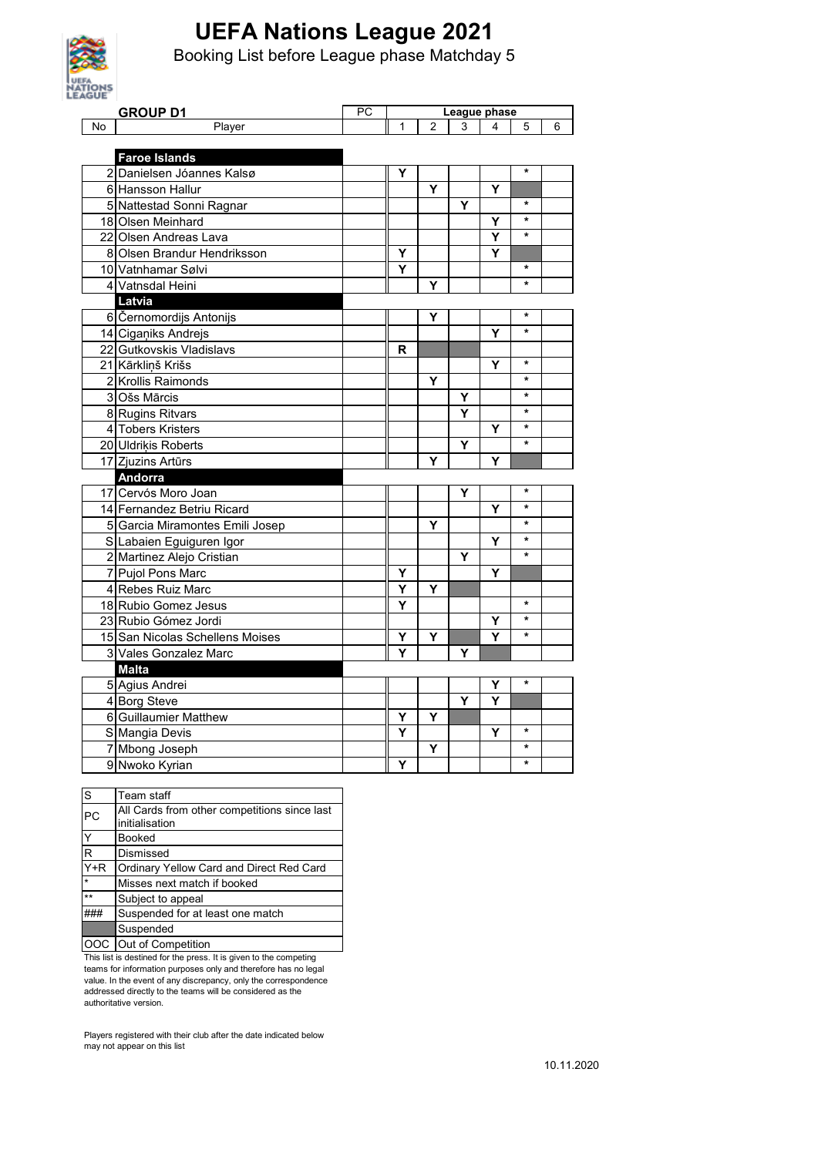

Booking List before League phase Matchday 5

| AGUE | <b>GROUP D1</b>                 | PC | League phase |                |                         |   |         |   |
|------|---------------------------------|----|--------------|----------------|-------------------------|---|---------|---|
| No   | Player                          |    | 1            | $\overline{2}$ | 3                       | 4 | 5       | 6 |
|      |                                 |    |              |                |                         |   |         |   |
|      | <b>Faroe Islands</b>            |    |              |                |                         |   |         |   |
|      | 2 Danielsen Jóannes Kalsø       |    | Y            |                |                         |   | $\star$ |   |
|      | 6 Hansson Hallur                |    |              | Y              |                         | Y |         |   |
|      | 5 Nattestad Sonni Ragnar        |    |              |                | Υ                       |   | $\star$ |   |
|      | 18 Olsen Meinhard               |    |              |                |                         | Y | $\star$ |   |
|      | 22 Olsen Andreas Lava           |    |              |                |                         | Y | $\star$ |   |
|      | 8 Olsen Brandur Hendriksson     |    | Y            |                |                         | Y |         |   |
|      | 10 Vatnhamar Sølvi              |    | Y            |                |                         |   | $\star$ |   |
|      | 4 Vatnsdal Heini                |    |              | Υ              |                         |   | $\star$ |   |
|      | Latvia                          |    |              |                |                         |   |         |   |
|      | 6 Černomordijs Antonijs         |    |              | Y              |                         |   | $\star$ |   |
|      | 14 Ciganiks Andrejs             |    |              |                |                         | Υ | $\star$ |   |
|      | 22 Gutkovskis Vladislavs        |    | R            |                |                         |   |         |   |
|      | 21 Kārkliņš Krišs               |    |              |                |                         | Υ | $\star$ |   |
|      | 2 Krollis Raimonds              |    |              | Υ              |                         |   | $\star$ |   |
|      | 3 Ošs Mārcis                    |    |              |                | Υ                       |   | $\star$ |   |
|      | 8 Rugins Ritvars                |    |              |                | Y                       |   | $\star$ |   |
|      | 4 Tobers Kristers               |    |              |                |                         | Y | $\star$ |   |
|      | 20 Uldrikis Roberts             |    |              |                | $\overline{\mathsf{Y}}$ |   | $\star$ |   |
|      | 17 Zjuzins Artūrs               |    |              | Y              |                         | Y |         |   |
|      | Andorra                         |    |              |                |                         |   |         |   |
|      | 17 Cervós Moro Joan             |    |              |                | Υ                       |   | $\star$ |   |
|      | 14 Fernandez Betriu Ricard      |    |              |                |                         | Y | $\star$ |   |
|      | 5 Garcia Miramontes Emili Josep |    |              | Y              |                         |   | $\star$ |   |
|      | S Labaien Eguiguren Igor        |    |              |                |                         | Υ | $\star$ |   |
|      | 2 Martinez Alejo Cristian       |    |              |                | Υ                       |   | $\star$ |   |
|      | 7 Pujol Pons Marc               |    | Y            |                |                         | Y |         |   |
|      | 4 Rebes Ruiz Marc               |    | Y            | Y              |                         |   |         |   |
|      | 18 Rubio Gomez Jesus            |    | Y            |                |                         |   | $\star$ |   |
|      | 23 Rubio Gómez Jordi            |    |              |                |                         | Υ | $\star$ |   |
|      | 15 San Nicolas Schellens Moises |    | Y            | Υ              |                         | Y | $\star$ |   |
|      | 3 Vales Gonzalez Marc           |    | Y            |                | Y                       |   |         |   |
|      | <b>Malta</b>                    |    |              |                |                         |   |         |   |
|      | 5 Agius Andrei                  |    |              |                |                         | Y | $\star$ |   |
|      | 4 Borg Steve                    |    |              |                | Y                       | Y |         |   |
|      | 6 Guillaumier Matthew           |    | Υ            | Υ              |                         |   |         |   |
|      | S Mangia Devis                  |    | Y            |                |                         | Υ | *       |   |
|      | 7 Mbong Joseph                  |    |              | Υ              |                         |   | $\star$ |   |
|      | 9 Nwoko Kyrian                  |    | Y            |                |                         |   | *       |   |

| S                 | Team staff                                   |  |  |  |
|-------------------|----------------------------------------------|--|--|--|
| PC                | All Cards from other competitions since last |  |  |  |
|                   | initialisation                               |  |  |  |
| Y                 | Booked                                       |  |  |  |
| R                 | Dismissed                                    |  |  |  |
| $\overline{Y}$ +R | Ordinary Yellow Card and Direct Red Card     |  |  |  |
| $\star$           | Misses next match if booked                  |  |  |  |
| $***$             | Subject to appeal                            |  |  |  |
|                   | Suspended for at least one match             |  |  |  |
|                   | Suspended                                    |  |  |  |
| OOC.              | Out of Competition                           |  |  |  |

This list is destined for the press. It is given to the competing teams for information purposes only and therefore has no legal value. In the event of any discrepancy, only the correspondence addressed directly to the teams will be considered as the authoritative version.